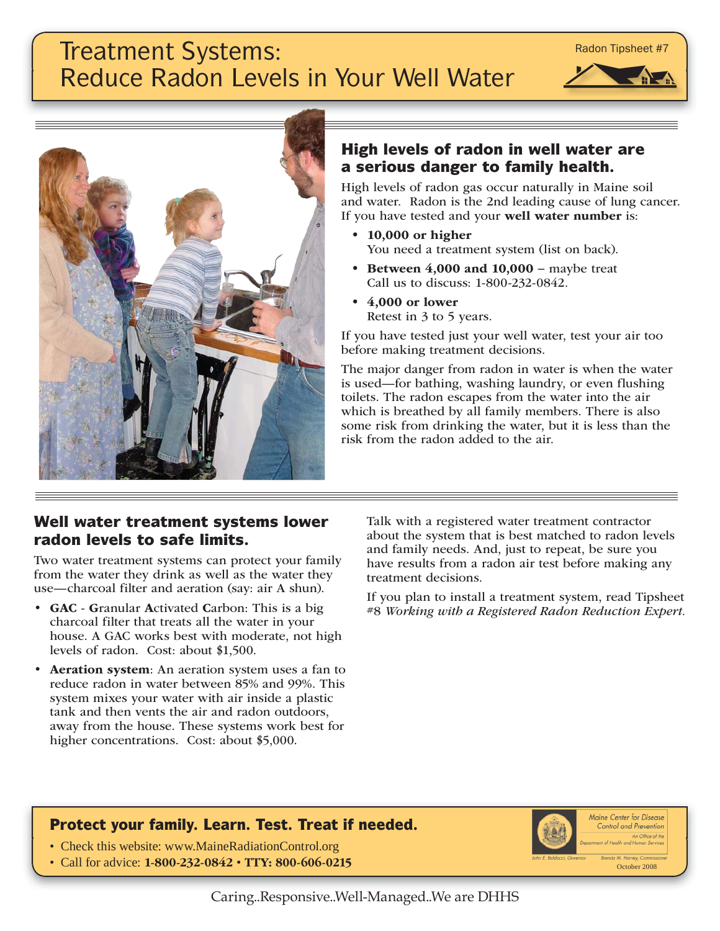#### Caring..Responsive..Well-Managed..We are DHHS

# Treatment Systems: Reduce Radon Levels in Your Well Water



High levels of radon gas occur naturally in Maine soil and water. Radon is the 2nd leading cause of lung cancer. If you have tested and your **well water number** is:

- **10,000 or higher**  You need a treatment system (list on back).
- **Between 4,000 and 10,000** − maybe treat Call us to discuss: 1-800-232-0842.
- **4,000 or lower** Retest in 3 to 5 years.

If you have tested just your well water, test your air too before making treatment decisions.

The major danger from radon in water is when the water is used—for bathing, washing laundry, or even flushing toilets. The radon escapes from the water into the air which is breathed by all family members. There is also some risk from drinking the water, but it is less than the risk from the radon added to the air.

#### **Well water treatment systems lower radon levels to safe limits.**

Two water treatment systems can protect your family from the water they drink as well as the water they use—charcoal filter and aeration (say: air A shun).

- **GAC G**ranular **A**ctivated **C**arbon: This is a big charcoal filter that treats all the water in your house. A GAC works best with moderate, not high levels of radon. Cost: about \$1,500.
- **Aeration system**: An aeration system uses a fan to reduce radon in water between 85% and 99%. This system mixes your water with air inside a plastic tank and then vents the air and radon outdoors, away from the house. These systems work best for higher concentrations. Cost: about \$5,000.

Talk with a registered water treatment contractor about the system that is best matched to radon levels and family needs. And, just to repeat, be sure you have results from a radon air test before making any treatment decisions.

If you plan to install a treatment system, read Tipsheet #8 *Working with a Registered Radon Reduction Expert.*

### **Protect your family. Learn. Test. Treat if needed.**

- Check this website: www.MaineRadiationControl.org
- Call for advice: **1-800-232-0842 TTY: 800-606-0215** October 2008